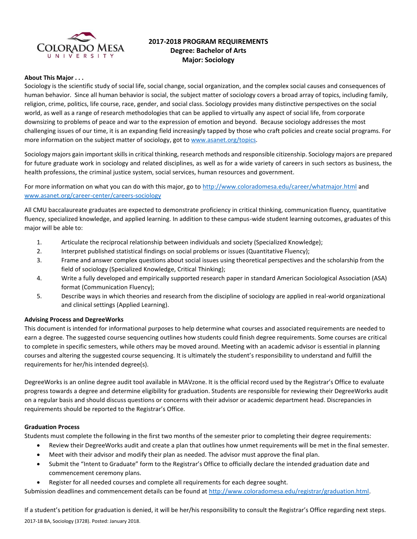

# **2017-2018 PROGRAM REQUIREMENTS Degree: Bachelor of Arts Major: Sociology**

#### **About This Major . . .**

Sociology is the scientific study of social life, social change, social organization, and the complex social causes and consequences of human behavior. Since all human behavior is social, the subject matter of sociology covers a broad array of topics, including family, religion, crime, politics, life course, race, gender, and social class. Sociology provides many distinctive perspectives on the social world, as well as a range of research methodologies that can be applied to virtually any aspect of social life, from corporate downsizing to problems of peace and war to the expression of emotion and beyond. Because sociology addresses the most challenging issues of our time, it is an expanding field increasingly tapped by those who craft policies and create social programs. For more information on the subject matter of sociology, got t[o www.asanet.org/topics.](http://www.asanet.org/topics)

Sociology majors gain important skills in critical thinking, research methods and responsible citizenship. Sociology majors are prepared for future graduate work in sociology and related disciplines, as well as for a wide variety of careers in such sectors as business, the health professions, the criminal justice system, social services, human resources and government.

For more information on what you can do with this major, go to<http://www.coloradomesa.edu/career/whatmajor.html> and [www.asanet.org/career-center/careers-sociology](http://www.asanet.org/career-center/careers-sociology)

All CMU baccalaureate graduates are expected to demonstrate proficiency in critical thinking, communication fluency, quantitative fluency, specialized knowledge, and applied learning. In addition to these campus-wide student learning outcomes, graduates of this major will be able to:

- 1. Articulate the reciprocal relationship between individuals and society (Specialized Knowledge);
- 2. Interpret published statistical findings on social problems or issues (Quantitative Fluency);
- 3. Frame and answer complex questions about social issues using theoretical perspectives and the scholarship from the field of sociology (Specialized Knowledge, Critical Thinking);
- 4. Write a fully developed and empirically supported research paper in standard American Sociological Association (ASA) format (Communication Fluency);
- 5. Describe ways in which theories and research from the discipline of sociology are applied in real-world organizational and clinical settings (Applied Learning).

#### **Advising Process and DegreeWorks**

This document is intended for informational purposes to help determine what courses and associated requirements are needed to earn a degree. The suggested course sequencing outlines how students could finish degree requirements. Some courses are critical to complete in specific semesters, while others may be moved around. Meeting with an academic advisor is essential in planning courses and altering the suggested course sequencing. It is ultimately the student's responsibility to understand and fulfill the requirements for her/his intended degree(s).

DegreeWorks is an online degree audit tool available in MAVzone. It is the official record used by the Registrar's Office to evaluate progress towards a degree and determine eligibility for graduation. Students are responsible for reviewing their DegreeWorks audit on a regular basis and should discuss questions or concerns with their advisor or academic department head. Discrepancies in requirements should be reported to the Registrar's Office.

#### **Graduation Process**

Students must complete the following in the first two months of the semester prior to completing their degree requirements:

- Review their DegreeWorks audit and create a plan that outlines how unmet requirements will be met in the final semester.
- Meet with their advisor and modify their plan as needed. The advisor must approve the final plan.
- Submit the "Intent to Graduate" form to the Registrar's Office to officially declare the intended graduation date and commencement ceremony plans.
- Register for all needed courses and complete all requirements for each degree sought.

Submission deadlines and commencement details can be found at [http://www.coloradomesa.edu/registrar/graduation.html.](http://www.coloradomesa.edu/registrar/graduation.html)

2017-18 BA, Sociology (3728). Posted: January 2018. If a student's petition for graduation is denied, it will be her/his responsibility to consult the Registrar's Office regarding next steps.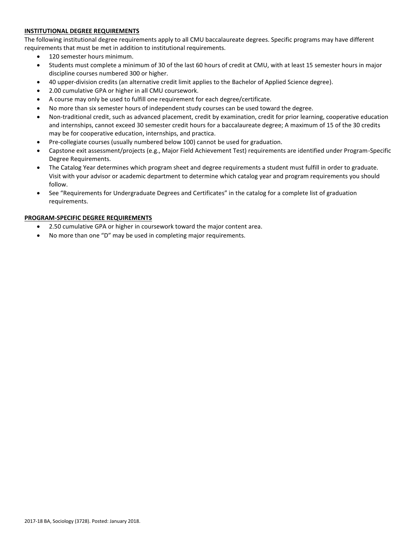# **INSTITUTIONAL DEGREE REQUIREMENTS**

The following institutional degree requirements apply to all CMU baccalaureate degrees. Specific programs may have different requirements that must be met in addition to institutional requirements.

- 120 semester hours minimum.
- Students must complete a minimum of 30 of the last 60 hours of credit at CMU, with at least 15 semester hours in major discipline courses numbered 300 or higher.
- 40 upper-division credits (an alternative credit limit applies to the Bachelor of Applied Science degree).
- 2.00 cumulative GPA or higher in all CMU coursework.
- A course may only be used to fulfill one requirement for each degree/certificate.
- No more than six semester hours of independent study courses can be used toward the degree.
- Non-traditional credit, such as advanced placement, credit by examination, credit for prior learning, cooperative education and internships, cannot exceed 30 semester credit hours for a baccalaureate degree; A maximum of 15 of the 30 credits may be for cooperative education, internships, and practica.
- Pre-collegiate courses (usually numbered below 100) cannot be used for graduation.
- Capstone exit assessment/projects (e.g., Major Field Achievement Test) requirements are identified under Program-Specific Degree Requirements.
- The Catalog Year determines which program sheet and degree requirements a student must fulfill in order to graduate. Visit with your advisor or academic department to determine which catalog year and program requirements you should follow.
- See "Requirements for Undergraduate Degrees and Certificates" in the catalog for a complete list of graduation requirements.

# **PROGRAM-SPECIFIC DEGREE REQUIREMENTS**

- 2.50 cumulative GPA or higher in coursework toward the major content area.
- No more than one "D" may be used in completing major requirements.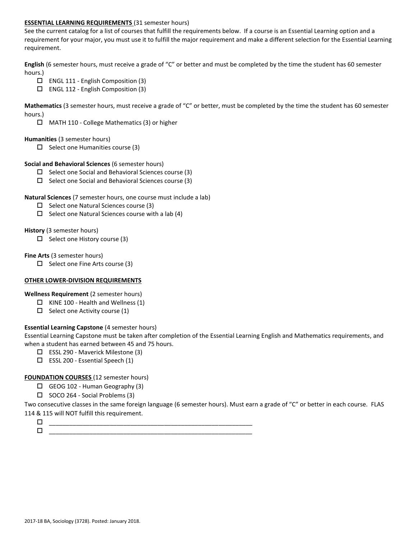### **ESSENTIAL LEARNING REQUIREMENTS** (31 semester hours)

See the current catalog for a list of courses that fulfill the requirements below. If a course is an Essential Learning option and a requirement for your major, you must use it to fulfill the major requirement and make a different selection for the Essential Learning requirement.

**English** (6 semester hours, must receive a grade of "C" or better and must be completed by the time the student has 60 semester hours.)

- $\Box$  ENGL 111 English Composition (3)
- ENGL 112 English Composition (3)

**Mathematics** (3 semester hours, must receive a grade of "C" or better, must be completed by the time the student has 60 semester hours.)

MATH 110 - College Mathematics (3) or higher

#### **Humanities** (3 semester hours)

 $\Box$  Select one Humanities course (3)

#### **Social and Behavioral Sciences** (6 semester hours)

- $\Box$  Select one Social and Behavioral Sciences course (3)
- $\Box$  Select one Social and Behavioral Sciences course (3)

#### **Natural Sciences** (7 semester hours, one course must include a lab)

- $\square$  Select one Natural Sciences course (3)
- $\Box$  Select one Natural Sciences course with a lab (4)

#### **History** (3 semester hours)

 $\Box$  Select one History course (3)

#### **Fine Arts** (3 semester hours)

 $\Box$  Select one Fine Arts course (3)

# **OTHER LOWER-DIVISION REQUIREMENTS**

**Wellness Requirement** (2 semester hours)

- $\Box$  KINE 100 Health and Wellness (1)
- $\Box$  Select one Activity course (1)

# **Essential Learning Capstone** (4 semester hours)

Essential Learning Capstone must be taken after completion of the Essential Learning English and Mathematics requirements, and when a student has earned between 45 and 75 hours.

- ESSL 290 Maverick Milestone (3)
- $\square$  ESSL 200 Essential Speech (1)

# **FOUNDATION COURSES** (12 semester hours)

- $\Box$  GEOG 102 Human Geography (3)
- $\square$  SOCO 264 Social Problems (3)

Two consecutive classes in the same foreign language (6 semester hours). Must earn a grade of "C" or better in each course. FLAS 114 & 115 will NOT fulfill this requirement.

- \_\_\_\_\_\_\_\_\_\_\_\_\_\_\_\_\_\_\_\_\_\_\_\_\_\_\_\_\_\_\_\_\_\_\_\_\_\_\_\_\_\_\_\_\_\_\_\_\_\_\_\_\_\_\_\_\_\_\_\_
- $\Box$   $\underline{\hspace{1cm}}$   $\underline{\hspace{1cm}}$   $\underline{\hspace{1cm}}$   $\underline{\hspace{1cm}}$   $\overline{\hspace{1cm}}$   $\overline{\hspace{1cm}}$   $\overline{\hspace{1cm}}$   $\overline{\hspace{1cm}}$   $\overline{\hspace{1cm}}$   $\overline{\hspace{1cm}}$   $\overline{\hspace{1cm}}$   $\overline{\hspace{1cm}}$   $\overline{\hspace{1cm}}$   $\overline{\hspace{1cm}}$   $\overline{\hspace{1cm}}$   $\overline{\hspace{1cm}}$   $\overline{\hspace{1$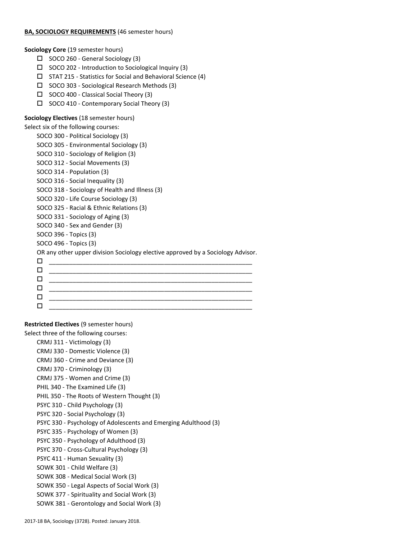### **BA, SOCIOLOGY REQUIREMENTS** (46 semester hours)

**Sociology Core** (19 semester hours)

- $\Box$  SOCO 260 General Sociology (3)
- $\square$  SOCO 202 Introduction to Sociological Inquiry (3)
- $\Box$  STAT 215 Statistics for Social and Behavioral Science (4)
- SOCO 303 Sociological Research Methods (3)
- $\Box$  SOCO 400 Classical Social Theory (3)
- SOCO 410 Contemporary Social Theory (3)

#### **Sociology Electives** (18 semester hours)

Select six of the following courses:

- SOCO 300 Political Sociology (3)
- SOCO 305 Environmental Sociology (3)
- SOCO 310 Sociology of Religion (3)
- SOCO 312 Social Movements (3)
- SOCO 314 Population (3)
- SOCO 316 Social Inequality (3)
- SOCO 318 Sociology of Health and Illness (3)
- SOCO 320 Life Course Sociology (3)
- SOCO 325 Racial & Ethnic Relations (3)
- SOCO 331 Sociology of Aging (3)
- SOCO 340 Sex and Gender (3)
- SOCO 396 Topics (3)
- SOCO 496 Topics (3)

#### OR any other upper division Sociology elective approved by a Sociology Advisor.

#### **Restricted Electives** (9 semester hours)

Select three of the following courses:

CRMJ 311 - Victimology (3) CRMJ 330 - Domestic Violence (3) CRMJ 360 - Crime and Deviance (3) CRMJ 370 - Criminology (3) CRMJ 375 - Women and Crime (3) PHIL 340 - The Examined Life (3) PHIL 350 - The Roots of Western Thought (3) PSYC 310 - Child Psychology (3) PSYC 320 - Social Psychology (3) PSYC 330 - Psychology of Adolescents and Emerging Adulthood (3) PSYC 335 - Psychology of Women (3) PSYC 350 - Psychology of Adulthood (3) PSYC 370 - Cross-Cultural Psychology (3) PSYC 411 - Human Sexuality (3) SOWK 301 - Child Welfare (3) SOWK 308 - Medical Social Work (3) SOWK 350 - Legal Aspects of Social Work (3) SOWK 377 - Spirituality and Social Work (3) SOWK 381 - Gerontology and Social Work (3)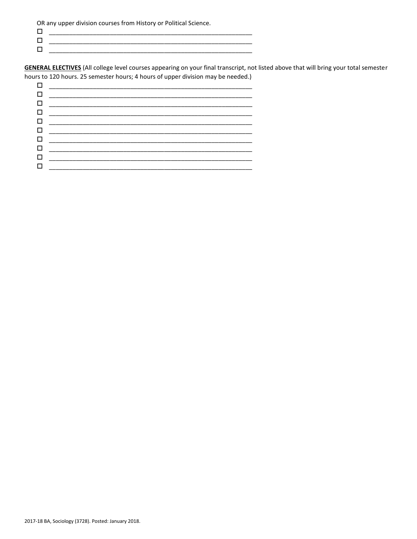OR any upper division courses from History or Political Science.

 $\Box$  $\Box$ 

**GENERAL ELECTIVES** (All college level courses appearing on your final transcript, not listed above that will bring your total semester hours to 120 hours. 25 semester hours; 4 hours of upper division may be needed.)

|   | 0 _____________________________                                                                                                                                                                                                 |
|---|---------------------------------------------------------------------------------------------------------------------------------------------------------------------------------------------------------------------------------|
|   |                                                                                                                                                                                                                                 |
|   | 0 __________________________                                                                                                                                                                                                    |
|   | <u>0 ________________________</u>                                                                                                                                                                                               |
|   | $\Box$ and the set of the set of the set of the set of the set of the set of the set of the set of the set of the set of the set of the set of the set of the set of the set of the set of the set of the set of the set of the |
|   |                                                                                                                                                                                                                                 |
| п |                                                                                                                                                                                                                                 |
|   |                                                                                                                                                                                                                                 |